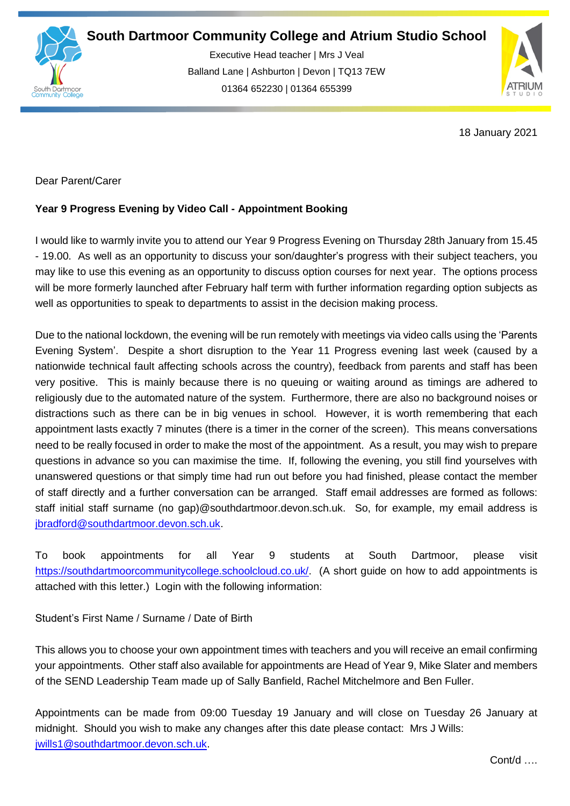

Executive Head teacher | Mrs J Veal Balland Lane | Ashburton | Devon | TQ13 7EW 01364 652230 | 01364 655399

ww.south.co.uk | [www.atrium-studio.co.uk](http://www.atrium-studio.co.uk/) | www.atrium-studio.co.uk



18 January 2021

Dear Parent/Carer

## **Year 9 Progress Evening by Video Call - Appointment Booking**

I would like to warmly invite you to attend our Year 9 Progress Evening on Thursday 28th January from 15.45 - 19.00. As well as an opportunity to discuss your son/daughter's progress with their subject teachers, you may like to use this evening as an opportunity to discuss option courses for next year. The options process will be more formerly launched after February half term with further information regarding option subjects as well as opportunities to speak to departments to assist in the decision making process.

Due to the national lockdown, the evening will be run remotely with meetings via video calls using the 'Parents Evening System'. Despite a short disruption to the Year 11 Progress evening last week (caused by a nationwide technical fault affecting schools across the country), feedback from parents and staff has been very positive. This is mainly because there is no queuing or waiting around as timings are adhered to religiously due to the automated nature of the system. Furthermore, there are also no background noises or distractions such as there can be in big venues in school. However, it is worth remembering that each appointment lasts exactly 7 minutes (there is a timer in the corner of the screen). This means conversations need to be really focused in order to make the most of the appointment. As a result, you may wish to prepare questions in advance so you can maximise the time. If, following the evening, you still find yourselves with unanswered questions or that simply time had run out before you had finished, please contact the member of staff directly and a further conversation can be arranged. Staff email addresses are formed as follows: staff initial staff surname (no gap)@southdartmoor.devon.sch.uk. So, for example, my email address is [jbradford@southdartmoor.devon.sch.uk.](mailto:jbradford@southdartmoor.devon.sch.uk)

To book appointments for all Year 9 students at South Dartmoor, please visit [https://southdartmoorcommunitycollege.schoolcloud.co.uk/.](https://southdartmoorcommunitycollege.schoolcloud.co.uk/) (A short guide on how to add appointments is attached with this letter.) Login with the following information:

Student's First Name / Surname / Date of Birth

This allows you to choose your own appointment times with teachers and you will receive an email confirming your appointments. Other staff also available for appointments are Head of Year 9, Mike Slater and members of the SEND Leadership Team made up of Sally Banfield, Rachel Mitchelmore and Ben Fuller.

Appointments can be made from 09:00 Tuesday 19 January and will close on Tuesday 26 January at midnight. Should you wish to make any changes after this date please contact: Mrs J Wills: [jwills1@southdartmoor.devon.sch.uk.](mailto:jwills1@southdartmoor.devon.sch.uk)